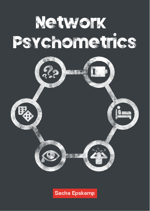



### **Sacha Epskamp**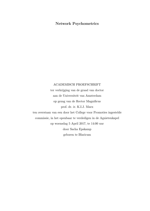#### Network Psychometrics

#### ACADEMISCH PROEFSCHRIFT

ter verkrijging van de graad van doctor aan de Universiteit van Amsterdam op gezag van de Rector Magnificus prof. dr. ir. K.I.J. Maex

ten overstaan van een door het College voor Promoties ingestelde commissie, in het openbaar te verdedigen in de Agnietenkapel op woensdag 5 April 2017, te 14:00 uur door Sacha Epskamp geboren te Blaricum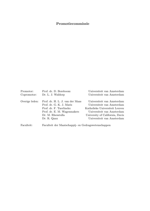#### Promotiecommissie

| Promotor:      | Prof. dr. D. Borsboom                                                                                                                                    | Universiteit van Amsterdam                                                                                                                                                                |
|----------------|----------------------------------------------------------------------------------------------------------------------------------------------------------|-------------------------------------------------------------------------------------------------------------------------------------------------------------------------------------------|
| Copromotor:    | Dr. L. J. Waldorp                                                                                                                                        | Universiteit van Amsterdam                                                                                                                                                                |
| Overige leden: | Prof. dr. H. L. J. van der Maas<br>Prof. dr. G. K. J. Maris<br>Prof. dr. F. Tuerlinckx<br>Prof. dr. E. M. Wagenmakers<br>Dr. M. Rhemtulla<br>Dr. R. Quax | Universiteit van Amsterdam<br>Universiteit van Amsterdam<br>Katholieke Universiteit Leuven<br>Universiteit van Amsterdam<br>University of California, Davis<br>Universiteit van Amsterdam |
|                |                                                                                                                                                          |                                                                                                                                                                                           |

Faculteit: Faculteit der Maatschappij- en Gedragswetenschappen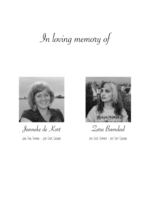# In loving memory of



Janneke de Kort  $26/01/1984 - 25/05/2016$ 



Zara Bamdad  $19/03/1990 - 15/07/2016$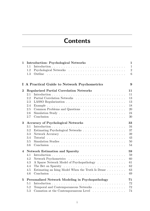## **Contents**

| $\mathbf{1}$ | <b>Introduction: Psychological Networks</b>                                                    | $\mathbf 1$    |
|--------------|------------------------------------------------------------------------------------------------|----------------|
|              | 1.1                                                                                            | $\mathbf{1}$   |
|              | 1.2                                                                                            | $\overline{2}$ |
|              | 1.3                                                                                            | 6              |
|              | I A Practical Guide to Network Psychometrics                                                   | 9              |
| $\bf{2}$     | <b>Regularized Partial Correlation Networks</b>                                                | 11             |
|              | 2.1                                                                                            | 11             |
|              | 2.2                                                                                            | 13             |
|              | 2.3                                                                                            | 13             |
|              | 2.4                                                                                            | 18             |
|              | 2.5                                                                                            | 20             |
|              | 2.6                                                                                            | 24             |
|              | 2.7                                                                                            | 30             |
| 3            | <b>Accuracy of Psychological Networks</b>                                                      | 33             |
|              | 3.1                                                                                            | 34             |
|              | 3.2                                                                                            | 37             |
|              | 3.3                                                                                            | 39             |
|              | 3.4<br>Tutorial $\ldots \ldots \ldots \ldots \ldots \ldots \ldots \ldots \ldots \ldots \ldots$ | 43             |
|              | $3.5\,$                                                                                        | 50             |
|              | 3.6                                                                                            | 54             |
| 4            | <b>Network Estimation and Sparsity</b>                                                         | 59             |
|              | 4.1                                                                                            | 59             |
|              | 4.2                                                                                            | 60             |
|              | A Sparse Network Model of Psychopathology<br>4.3                                               | 61             |
|              | 4.4                                                                                            | 62             |
|              | Estimating an Ising Model When the Truth Is Dense $\ldots \ldots$<br>4.5                       | 63             |
|              | 4.6                                                                                            | 69             |
| 5            | Personalized Network Modeling in Psychopathology                                               | 71             |
|              | 5.1                                                                                            | 72<br>72       |
|              | Temporal and Contemporaneous Networks<br>5.2<br>5.3                                            |                |
|              | Causation at the Contemporaneous Level $\ldots \ldots \ldots \ldots$                           | 74             |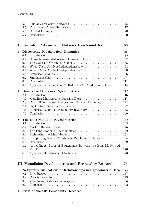|   | 5.4<br>5.5<br>$5.6\,$<br>5.7                                |                                                                                                                                                                                                                                                      | 75<br>77<br>$78\,$<br>80                                     |
|---|-------------------------------------------------------------|------------------------------------------------------------------------------------------------------------------------------------------------------------------------------------------------------------------------------------------------------|--------------------------------------------------------------|
| П |                                                             | <b>Technical Advances in Network Psychometrics</b>                                                                                                                                                                                                   | 83                                                           |
| 6 | 6.1<br>6.2<br>6.3<br>6.4<br>6.5<br>6.6<br>6.7<br>6.8<br>6.9 | <b>Discovering Psychological Dynamics</b><br>Characterizing Multivariate Gaussian Data<br>When Cases Are Not Independent: $n = 1$<br>When Cases Are Not Independent: $n > 1$<br>Conclusion<br>Appendix A: Simulating Multi-level VAR Models and Data | 85<br>85<br>87<br>88<br>94<br>98<br>106<br>107<br>111<br>114 |
| 7 | 7.1<br>7.2<br>7.3<br>7.4<br>7.5<br>7.6                      | <b>Generalized Network Psychometrics</b><br>Modeling Multivariate Gaussian Data $\ldots \ldots \ldots \ldots \ldots$<br>Generalizing Factor Analysis and Network Modeling<br>Empirical Example: Personality Inventory                                | 115<br>116<br>117<br>122<br>127<br>138<br>140                |
| 8 | 8.1<br>8.2<br>8.3<br>8.4<br>8.5<br>8.6<br>8.7<br>8.8        | The Ising Model in Psychometrics<br>Interpreting Latent Variables in Psychometric Models<br>Appendix A: Proof of Equivalence Between the Ising Model and                                                                                             | 143<br>143<br>145<br>152<br>158<br>164<br>169<br>170<br>173  |
|   |                                                             | <b>III Visualizing Psychometrics and Personality Research</b>                                                                                                                                                                                        | 175                                                          |
| 9 | 9.1<br>9.2<br>9.3<br>9.4                                    | Network Visualizations of Relationships in Psychometric Data<br>Conclusion                                                                                                                                                                           | 177<br>177<br>179<br>185<br>192                              |
|   |                                                             | 10 State of the aRt Personality Research                                                                                                                                                                                                             | 195                                                          |